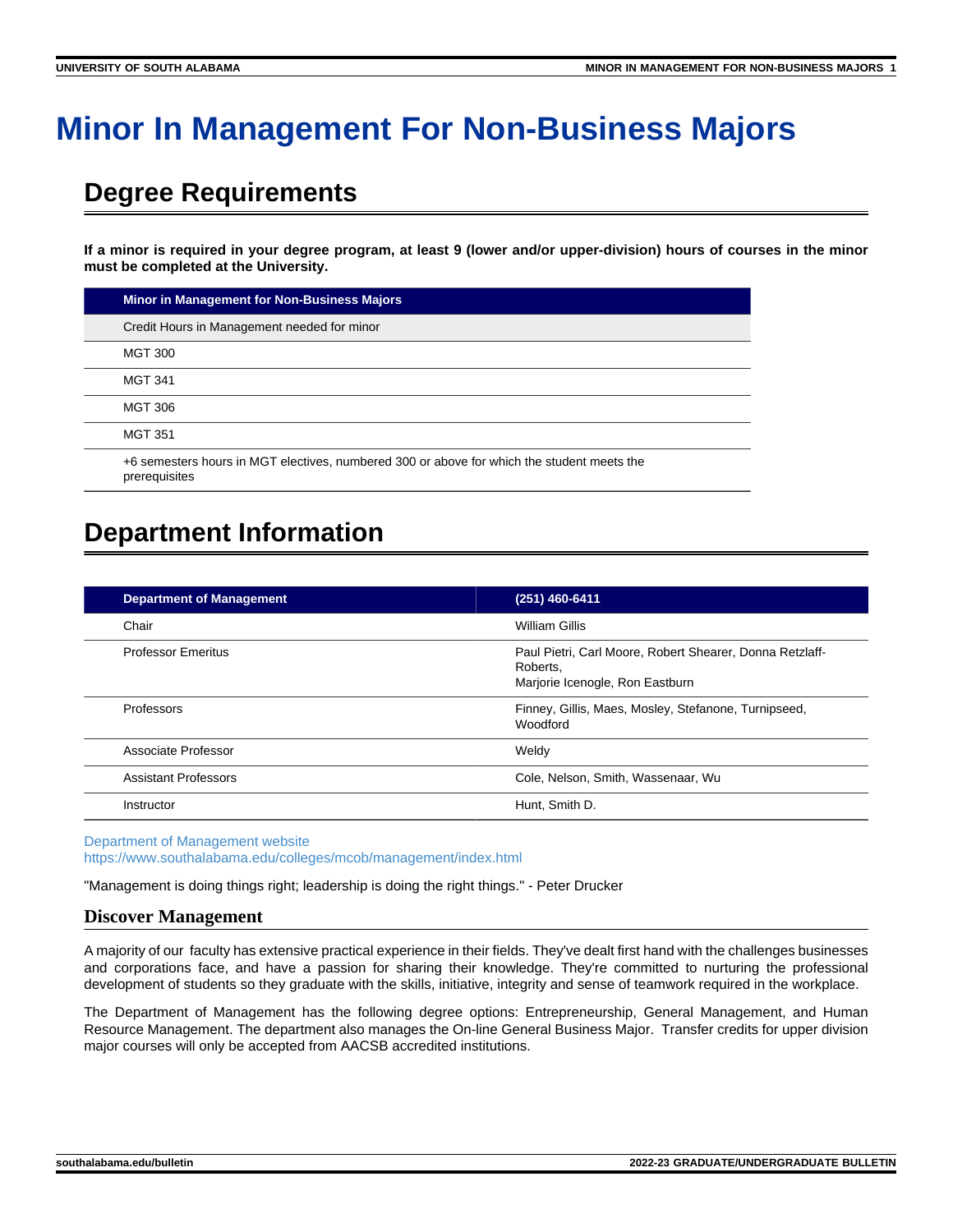# **Minor In Management For Non-Business Majors**

# **Degree Requirements**

**If a minor is required in your degree program, at least 9 (lower and/or upper-division) hours of courses in the minor must be completed at the University.**

| Minor in Management for Non-Business Majors                                                                 |
|-------------------------------------------------------------------------------------------------------------|
| Credit Hours in Management needed for minor                                                                 |
| <b>MGT 300</b>                                                                                              |
| <b>MGT 341</b>                                                                                              |
| <b>MGT 306</b>                                                                                              |
| <b>MGT 351</b>                                                                                              |
| +6 semesters hours in MGT electives, numbered 300 or above for which the student meets the<br>prerequisites |

# **Department Information**

| <b>Department of Management</b> | (251) 460-6411                                                                                          |
|---------------------------------|---------------------------------------------------------------------------------------------------------|
| Chair                           | William Gillis                                                                                          |
| <b>Professor Emeritus</b>       | Paul Pietri, Carl Moore, Robert Shearer, Donna Retzlaff-<br>Roberts.<br>Marjorie Icenogle, Ron Eastburn |
| Professors                      | Finney, Gillis, Maes, Mosley, Stefanone, Turnipseed,<br>Woodford                                        |
| Associate Professor             | Weldv                                                                                                   |
| <b>Assistant Professors</b>     | Cole, Nelson, Smith, Wassenaar, Wu                                                                      |
| Instructor                      | Hunt. Smith D.                                                                                          |

[Department of Management website](https://www.southalabama.edu/colleges/mcob/management/index.html) <https://www.southalabama.edu/colleges/mcob/management/index.html>

"Management is doing things right; leadership is doing the right things." - Peter Drucker

## **Discover Management**

A majority of our faculty has extensive practical experience in their fields. They've dealt first hand with the challenges businesses and corporations face, and have a passion for sharing their knowledge. They're committed to nurturing the professional development of students so they graduate with the skills, initiative, integrity and sense of teamwork required in the workplace.

The Department of Management has the following degree options: Entrepreneurship, General Management, and Human Resource Management. The department also manages the On-line General Business Major. Transfer credits for upper division major courses will only be accepted from AACSB accredited institutions.